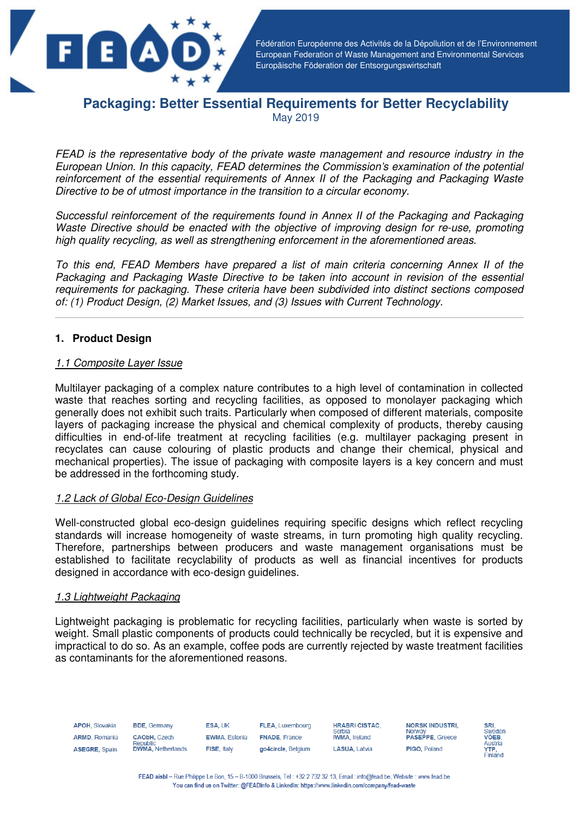

Fédération Européenne des Activités de la Dépollution et de l'Environnement European Federation of Waste Management and Environmental Services Europäische Föderation der Entsorgungswirtschaft

# **Packaging: Better Essential Requirements for Better Recyclability**  May 2019

FEAD is the representative body of the private waste management and resource industry in the European Union. In this capacity, FEAD determines the Commission's examination of the potential reinforcement of the essential requirements of Annex II of the Packaging and Packaging Waste Directive to be of utmost importance in the transition to a circular economy.

Successful reinforcement of the requirements found in Annex II of the Packaging and Packaging Waste Directive should be enacted with the objective of improving design for re-use, promoting high quality recycling, as well as strengthening enforcement in the aforementioned areas.

To this end, FEAD Members have prepared a list of main criteria concerning Annex II of the Packaging and Packaging Waste Directive to be taken into account in revision of the essential requirements for packaging. These criteria have been subdivided into distinct sections composed of: (1) Product Design, (2) Market Issues, and (3) Issues with Current Technology.

## **1. Product Design**

#### 1.1 Composite Layer Issue

Multilayer packaging of a complex nature contributes to a high level of contamination in collected waste that reaches sorting and recycling facilities, as opposed to monolayer packaging which generally does not exhibit such traits. Particularly when composed of different materials, composite layers of packaging increase the physical and chemical complexity of products, thereby causing difficulties in end-of-life treatment at recycling facilities (e.g. multilayer packaging present in recyclates can cause colouring of plastic products and change their chemical, physical and mechanical properties). The issue of packaging with composite layers is a key concern and must be addressed in the forthcoming study.

## 1.2 Lack of Global Eco-Design Guidelines

Well-constructed global eco-design guidelines requiring specific designs which reflect recycling standards will increase homogeneity of waste streams, in turn promoting high quality recycling. Therefore, partnerships between producers and waste management organisations must be established to facilitate recyclability of products as well as financial incentives for products designed in accordance with eco-design guidelines.

#### 1.3 Lightweight Packaging

Lightweight packaging is problematic for recycling facilities, particularly when waste is sorted by weight. Small plastic components of products could technically be recycled, but it is expensive and impractical to do so. As an example, coffee pods are currently rejected by waste treatment facilities as contaminants for the aforementioned reasons.

| <b>APOH, Slovakia</b> | <b>BDE.</b> Germany                    | <b>ESA, UK</b>       | <b>FLEA, Luxembourg</b> | <b>HRABRI CISTAC.</b><br>Serbia | <b>NORSK INDUSTRI.</b><br>Norway |
|-----------------------|----------------------------------------|----------------------|-------------------------|---------------------------------|----------------------------------|
| <b>ARMD.</b> Romania  | <b>CAObH.</b> Czech<br><b>Republic</b> | <b>EWMA.</b> Estonia | <b>FNADE, France</b>    | <b>IWMA.</b> Ireland            | <b>PASEPPE, Greece</b>           |
| ASEGRE, Spain         | <b>DWMA, Netherlands</b>               | FISE, Italy          | go4circle, Belgium      | <b>LASUA.</b> Latvia            | PIGO, Poland                     |



FEAD aisbl - Rue Philippe Le Bon, 15 - B-1000 Brussels, Tel: +32 2 732 32 13, Email: info@fead.be, Website: www.fead.be You can find us on Twitter: @FEADInfo & LinkedIn: https://www.linkedin.com/company/fead-waste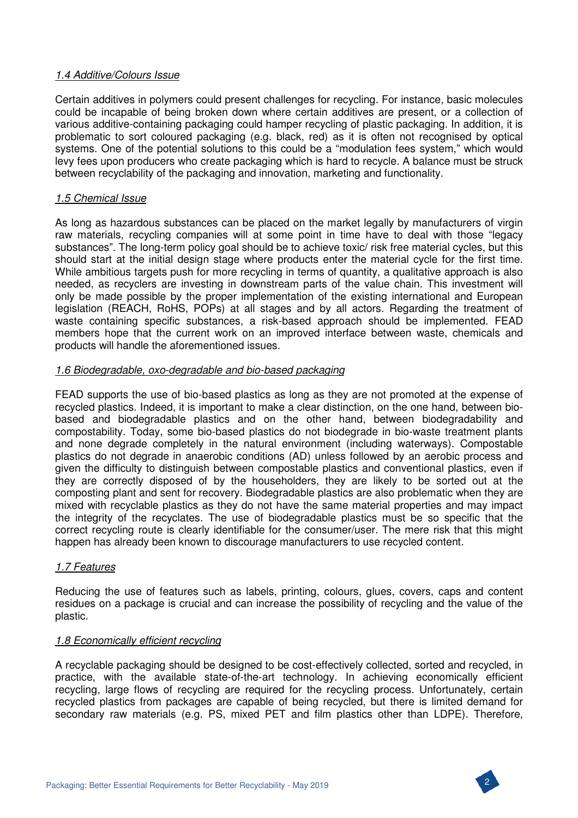## 1.4 Additive/Colours Issue

Certain additives in polymers could present challenges for recycling. For instance, basic molecules could be incapable of being broken down where certain additives are present, or a collection of various additive-containing packaging could hamper recycling of plastic packaging. In addition, it is problematic to sort coloured packaging (e.g. black, red) as it is often not recognised by optical systems. One of the potential solutions to this could be a "modulation fees system," which would levy fees upon producers who create packaging which is hard to recycle. A balance must be struck between recyclability of the packaging and innovation, marketing and functionality.

## 1.5 Chemical Issue

As long as hazardous substances can be placed on the market legally by manufacturers of virgin raw materials, recycling companies will at some point in time have to deal with those "legacy substances". The long-term policy goal should be to achieve toxic/ risk free material cycles, but this should start at the initial design stage where products enter the material cycle for the first time. While ambitious targets push for more recycling in terms of quantity, a qualitative approach is also needed, as recyclers are investing in downstream parts of the value chain. This investment will only be made possible by the proper implementation of the existing international and European legislation (REACH, RoHS, POPs) at all stages and by all actors. Regarding the treatment of waste containing specific substances, a risk-based approach should be implemented. FEAD members hope that the current work on an improved interface between waste, chemicals and products will handle the aforementioned issues.

## 1.6 Biodegradable, oxo-degradable and bio-based packaging

FEAD supports the use of bio-based plastics as long as they are not promoted at the expense of recycled plastics. Indeed, it is important to make a clear distinction, on the one hand, between biobased and biodegradable plastics and on the other hand, between biodegradability and compostability. Today, some bio-based plastics do not biodegrade in bio-waste treatment plants and none degrade completely in the natural environment (including waterways). Compostable plastics do not degrade in anaerobic conditions (AD) unless followed by an aerobic process and given the difficulty to distinguish between compostable plastics and conventional plastics, even if they are correctly disposed of by the householders, they are likely to be sorted out at the composting plant and sent for recovery. Biodegradable plastics are also problematic when they are mixed with recyclable plastics as they do not have the same material properties and may impact the integrity of the recyclates. The use of biodegradable plastics must be so specific that the correct recycling route is clearly identifiable for the consumer/user. The mere risk that this might happen has already been known to discourage manufacturers to use recycled content.

## 1.7 Features

Reducing the use of features such as labels, printing, colours, glues, covers, caps and content residues on a package is crucial and can increase the possibility of recycling and the value of the plastic.

## 1.8 Economically efficient recycling

A recyclable packaging should be designed to be cost-effectively collected, sorted and recycled, in practice, with the available state-of-the-art technology. In achieving economically efficient recycling, large flows of recycling are required for the recycling process. Unfortunately, certain recycled plastics from packages are capable of being recycled, but there is limited demand for secondary raw materials (e.g. PS, mixed PET and film plastics other than LDPE). Therefore,

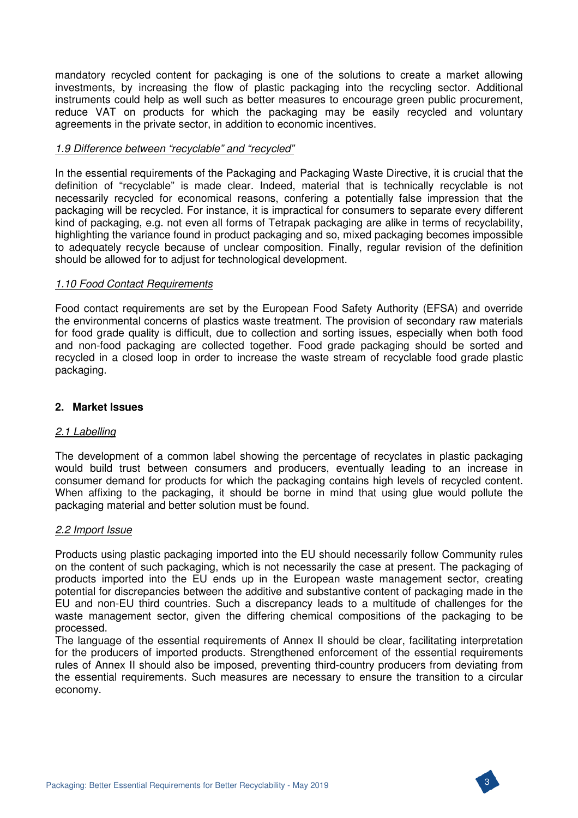mandatory recycled content for packaging is one of the solutions to create a market allowing investments, by increasing the flow of plastic packaging into the recycling sector. Additional instruments could help as well such as better measures to encourage green public procurement, reduce VAT on products for which the packaging may be easily recycled and voluntary agreements in the private sector, in addition to economic incentives.

## 1.9 Difference between "recyclable" and "recycled"

In the essential requirements of the Packaging and Packaging Waste Directive, it is crucial that the definition of "recyclable" is made clear. Indeed, material that is technically recyclable is not necessarily recycled for economical reasons, confering a potentially false impression that the packaging will be recycled. For instance, it is impractical for consumers to separate every different kind of packaging, e.g. not even all forms of Tetrapak packaging are alike in terms of recyclability, highlighting the variance found in product packaging and so, mixed packaging becomes impossible to adequately recycle because of unclear composition. Finally, regular revision of the definition should be allowed for to adjust for technological development.

#### 1.10 Food Contact Requirements

Food contact requirements are set by the European Food Safety Authority (EFSA) and override the environmental concerns of plastics waste treatment. The provision of secondary raw materials for food grade quality is difficult, due to collection and sorting issues, especially when both food and non-food packaging are collected together. Food grade packaging should be sorted and recycled in a closed loop in order to increase the waste stream of recyclable food grade plastic packaging.

### **2. Market Issues**

#### 2.1 Labelling

The development of a common label showing the percentage of recyclates in plastic packaging would build trust between consumers and producers, eventually leading to an increase in consumer demand for products for which the packaging contains high levels of recycled content. When affixing to the packaging, it should be borne in mind that using glue would pollute the packaging material and better solution must be found.

#### 2.2 Import Issue

Products using plastic packaging imported into the EU should necessarily follow Community rules on the content of such packaging, which is not necessarily the case at present. The packaging of products imported into the EU ends up in the European waste management sector, creating potential for discrepancies between the additive and substantive content of packaging made in the EU and non-EU third countries. Such a discrepancy leads to a multitude of challenges for the waste management sector, given the differing chemical compositions of the packaging to be processed.

The language of the essential requirements of Annex II should be clear, facilitating interpretation for the producers of imported products. Strengthened enforcement of the essential requirements rules of Annex II should also be imposed, preventing third-country producers from deviating from the essential requirements. Such measures are necessary to ensure the transition to a circular economy.